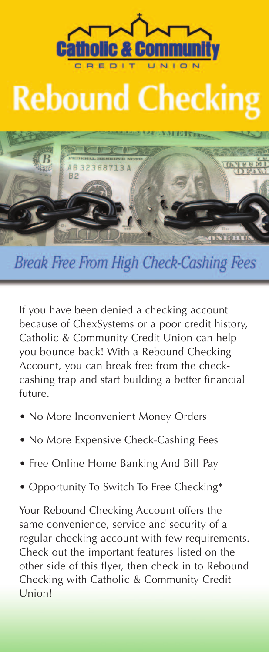## **Rebound Checking**



**Break Free From High Check-Cashing Fees** 

If you have been denied a checking account because of ChexSystems or a poor credit history, Catholic & Community Credit Union can help you bounce back! With a Rebound Checking Account, you can break free from the checkcashing trap and start building a better financial future.

- No More Inconvenient Money Orders
- No More Expensive Check-Cashing Fees
- Free Online Home Banking And Bill Pay
- Opportunity To Switch To Free Checking\*

Your Rebound Checking Account offers the same convenience, service and security of a regular checking account with few requirements. Check out the important features listed on the other side of this flyer, then check in to Rebound Checking with Catholic & Community Credit Union!